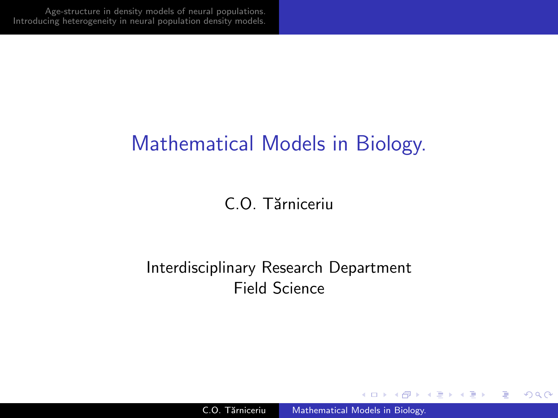## Mathematical Models in Biology.

#### C.O. Tărniceriu

#### Interdisciplinary Research Department Field Science

メロメ メ母メ メミメ メミメー

<span id="page-0-0"></span>∍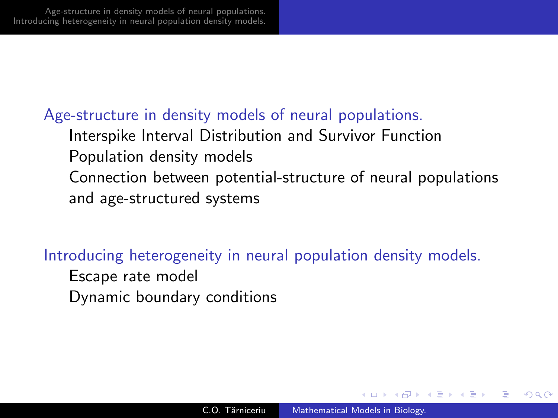#### [Age-structure in density models of neural populations.](#page-2-0)

[Interspike Interval Distribution and Survivor Function](#page-2-0) [Population density models](#page-5-0) [Connection between potential-structure of neural populations](#page-9-0) [and age-structured systems](#page-9-0)

#### [Introducing heterogeneity in neural population density models.](#page-13-0)

- [Escape rate model](#page-13-0)
- [Dynamic boundary conditions](#page-18-0)

∢ロ ▶ ∢何 ▶ ∢ ヨ ▶ ∢ ヨ ▶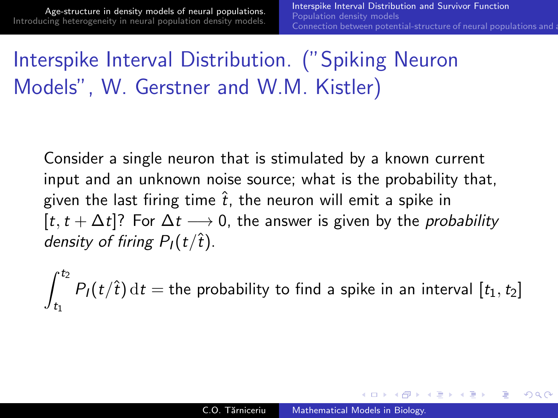∢ロト ∢母 ト ∢ ヨ ト ∢ ヨ ト

<span id="page-2-0"></span> $\Omega$ 

# Interspike Interval Distribution. ("Spiking Neuron Models", W. Gerstner and W.M. Kistler)

Consider a single neuron that is stimulated by a known current input and an unknown noise source; what is the probability that, given the last firing time  $\hat{t}$ , the neuron will emit a spike in  $[t, t + \Delta t]$ ? For  $\Delta t \longrightarrow 0$ , the answer is given by the *probability* density of firing  $P_1(t/\hat{t})$ .

 $\int_0^t$  $t_1$  $P_I(t/\hat{t}) dt =$  the probability to find a spike in an interval  $[t_1,t_2]$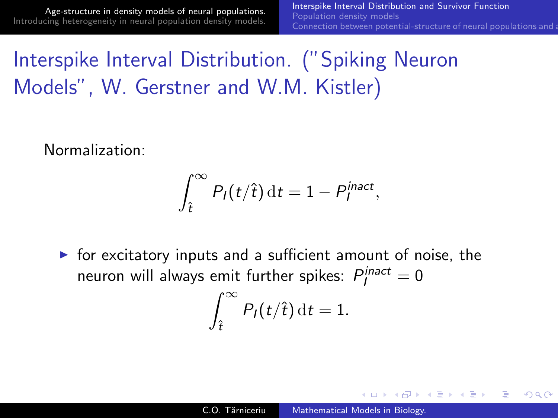∢ロ ▶ ∢何 ▶ ∢ ヨ ▶ ∢ ヨ ▶

 $209$ 

Interspike Interval Distribution. ("Spiking Neuron Models", W. Gerstner and W.M. Kistler)

Normalization:

$$
\int_{\hat{t}}^{\infty} P_I(t/\hat{t}) dt = 1 - P_I^{inact},
$$

 $\triangleright$  for excitatory inputs and a sufficient amount of noise, the neuron will always emit further spikes:  $P_I^{inact} = 0$ 

$$
\int_{\hat{t}}^{\infty} P_I(t/\hat{t}) dt = 1.
$$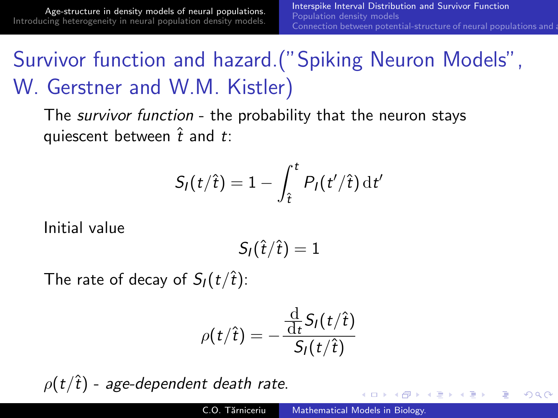# Survivor function and hazard.("Spiking Neuron Models", W. Gerstner and W.M. Kistler)

The *survivor function* - the probability that the neuron stays quiescent between  $\hat{t}$  and  $t$ :

$$
S_I(t/\hat{t}) = 1 - \int_{\hat{t}}^t P_I(t'/\hat{t}) dt'
$$

Initial value

$$
S_I(\hat{t}/\hat{t})=1
$$

The rate of decay of  $S_I(t/\hat{t})$ :

$$
\rho(t/\hat{t})=-\frac{\frac{\mathrm{d}}{\mathrm{d}t}S_I(t/\hat{t})}{S_I(t/\hat{t})}
$$

 $\rho(t/\hat{t})$  - age-dependent death rate.

and the first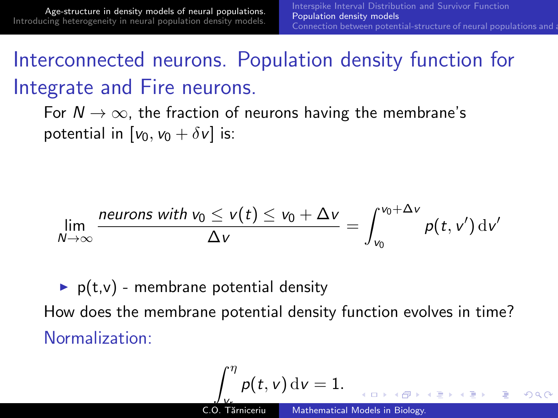## Interconnected neurons. Population density function for Integrate and Fire neurons.

For  $N \to \infty$ , the fraction of neurons having the membrane's potential in  $[v_0, v_0 + \delta v]$  is:

$$
\lim_{N\to\infty}\frac{\textit{neurons with }v_0\leq v(t)\leq v_0+\Delta v}{\Delta v}=\int_{v_0}^{v_0+\Delta v}p(t,v')\,\mathrm{d}v'
$$

 $\triangleright$  p(t,v) - membrane potential density How does the membrane potential density function evolves in time? Normalization:

<span id="page-5-0"></span>
$$
\int_{V_{\epsilon}}^{\eta} p(t, v) dv = 1.
$$
  
C.O. Tărniceriu Mathematical Models in Biology.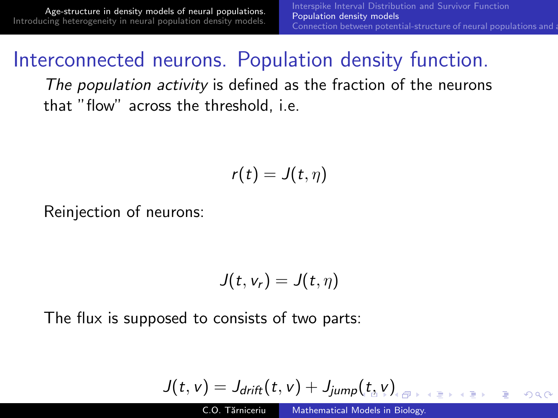[Age-structure in density models of neural populations.](#page-2-0) [Introducing heterogeneity in neural population density models.](#page-13-0)

#### Interconnected neurons. Population density function.

The population activity is defined as the fraction of the neurons that "flow" across the threshold, i.e.

$$
r(t)=J(t,\eta)
$$

Reinjection of neurons:

$$
J(t, v_r) = J(t, \eta)
$$

The flux is supposed to consists of two parts:

$$
J(t, v) = J_{drift}(t, v) + J_{jump}(t_{\text{a}}^{\text{}} v)_{\text{a}}^{\text{}} \qquad \text{for } t \geq 0 \text{ for } t \geq 0
$$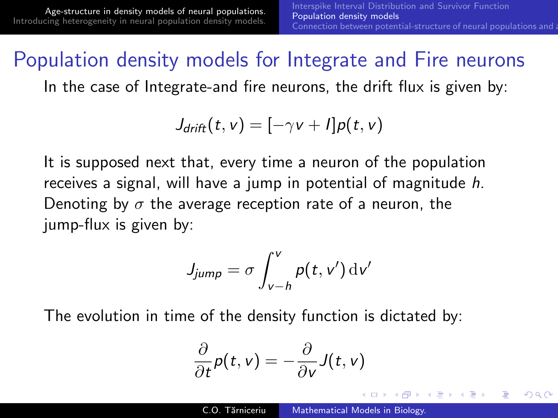<span id="page-7-0"></span>つくへ

## Population density models for Integrate and Fire neurons

In the case of Integrate-and fire neurons, the drift flux is given by:

$$
J_{drift}(t,v)=[-\gamma v+l]\rho(t,v)
$$

It is supposed next that, every time a neuron of the population receives a signal, will have a jump in potential of magnitude h. Denoting by  $\sigma$  the average reception rate of a neuron, the jump-flux is given by:

$$
J_{jump} = \sigma \int_{v-h}^{v} p(t, v') \, \mathrm{d}v'
$$

The evolution in time of the density function is dictated by:

$$
\frac{\partial}{\partial t}p(t,v)=-\frac{\partial}{\partial v}J(t,v)
$$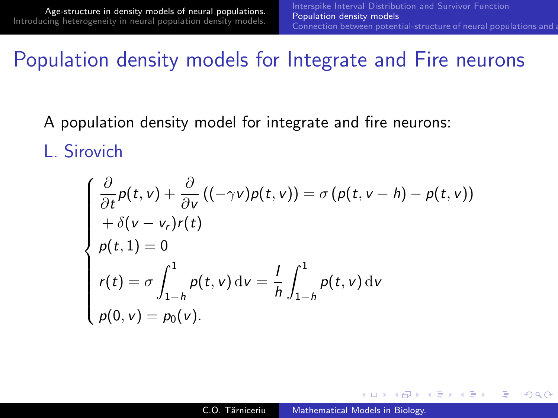つへへ

#### Population density models for Integrate and Fire neurons

- A population density model for integrate and fire neurons:
- L. Sirovich

$$
\begin{cases}\n\frac{\partial}{\partial t}p(t, v) + \frac{\partial}{\partial v}((- \gamma v)p(t, v)) = \sigma (p(t, v - h) - p(t, v)) \\
+ \delta (v - v_r)r(t) \\
p(t, 1) = 0 \\
r(t) = \sigma \int_{1-h}^{1} p(t, v) dv = \frac{1}{h} \int_{1-h}^{1} p(t, v) dv \\
p(0, v) = p_0(v).\n\end{cases}
$$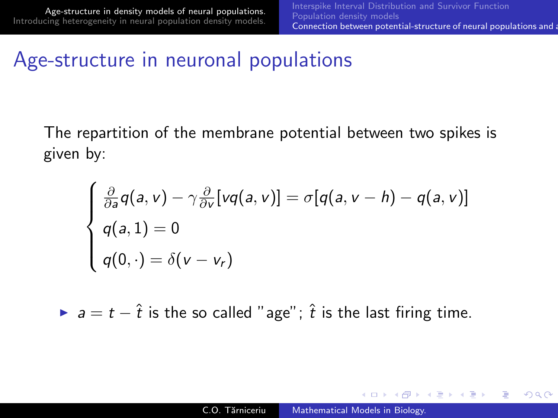**∢ロト ⊀母 ▶ ∢∃ ▶ ∢∃ ▶**..

<span id="page-9-0"></span> $\Omega$ 

## Age-structure in neuronal populations

The repartition of the membrane potential between two spikes is given by:

$$
\begin{cases} \frac{\partial}{\partial a}q(a, v) - \gamma \frac{\partial}{\partial v}[vq(a, v)] = \sigma[q(a, v - h) - q(a, v)] \\ q(a, 1) = 0 \\ q(0, \cdot) = \delta(v - v_r) \end{cases}
$$

 $\triangleright$  a = t –  $\hat{t}$  is the so called "age";  $\hat{t}$  is the last firing time.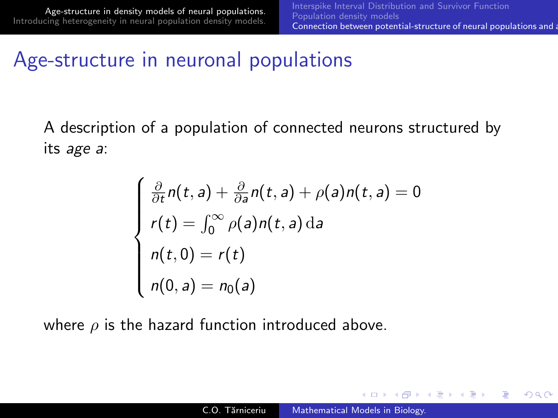す 何 ト す ヨ ト す ヨ ト

 $\Omega$ 

## Age-structure in neuronal populations

A description of a population of connected neurons structured by its age a:

$$
\begin{cases}\n\frac{\partial}{\partial t}n(t,a) + \frac{\partial}{\partial a}n(t,a) + \rho(a)n(t,a) = 0 \\
r(t) = \int_0^\infty \rho(a)n(t,a) \, da \\
n(t,0) = r(t) \\
n(0,a) = n_0(a)\n\end{cases}
$$

where  $\rho$  is the hazard function introduced above.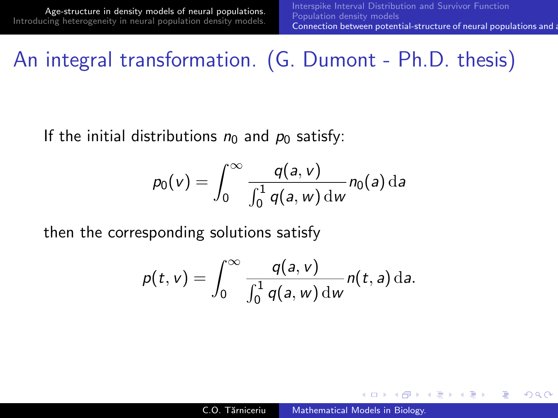$\Omega$ 

## An integral transformation. (G. Dumont - Ph.D. thesis)

If the initial distributions  $n_0$  and  $p_0$  satisfy:

$$
p_0(v) = \int_0^\infty \frac{q(a,v)}{\int_0^1 q(a,w) \, \mathrm{d}w} n_0(a) \, \mathrm{d}a
$$

then the corresponding solutions satisfy

$$
p(t,v)=\int_0^\infty \frac{q(a,v)}{\int_0^1 q(a,w) \, \mathrm{d}w} n(t,a) \, \mathrm{d}a.
$$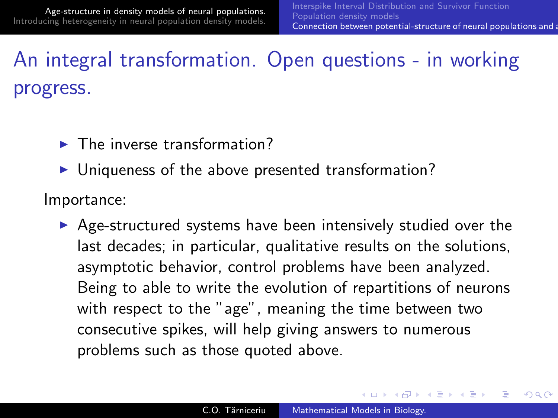∢ロ ▶ ∢何 ▶ ∢ ヨ ▶ ∢ ヨ ▶

つくへ

# An integral transformation. Open questions - in working progress.

- $\blacktriangleright$  The inverse transformation?
- $\blacktriangleright$  Uniqueness of the above presented transformation?

Importance:

 $\triangleright$  Age-structured systems have been intensively studied over the last decades; in particular, qualitative results on the solutions, asymptotic behavior, control problems have been analyzed. Being to able to write the evolution of repartitions of neurons with respect to the "age", meaning the time between two consecutive spikes, will help giving answers to numerous problems such as those quoted above.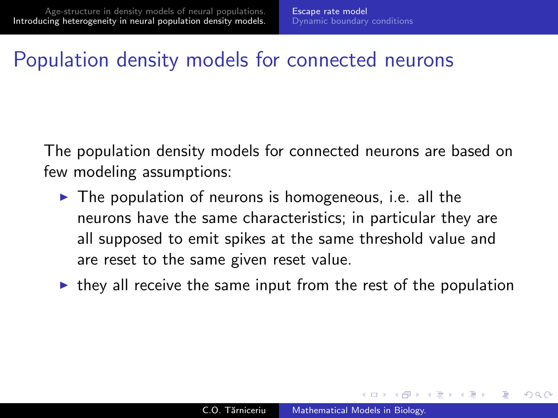## Population density models for connected neurons

The population density models for connected neurons are based on few modeling assumptions:

- $\triangleright$  The population of neurons is homogeneous, i.e. all the neurons have the same characteristics; in particular they are all supposed to emit spikes at the same threshold value and are reset to the same given reset value.
- <span id="page-13-0"></span> $\triangleright$  they all receive the same input from the rest of the population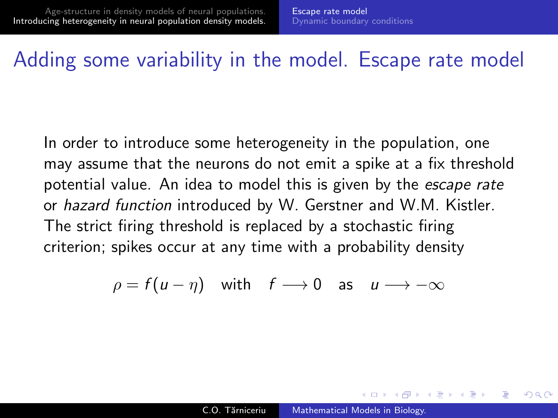#### Adding some variability in the model. Escape rate model

In order to introduce some heterogeneity in the population, one may assume that the neurons do not emit a spike at a fix threshold potential value. An idea to model this is given by the *escape rate* or hazard function introduced by W. Gerstner and W.M. Kistler. The strict firing threshold is replaced by a stochastic firing criterion; spikes occur at any time with a probability density

$$
\rho = f(u - \eta) \quad \text{with} \quad f \longrightarrow 0 \quad \text{as} \quad u \longrightarrow -\infty
$$

イロ トラ 河 トラ ミュートラン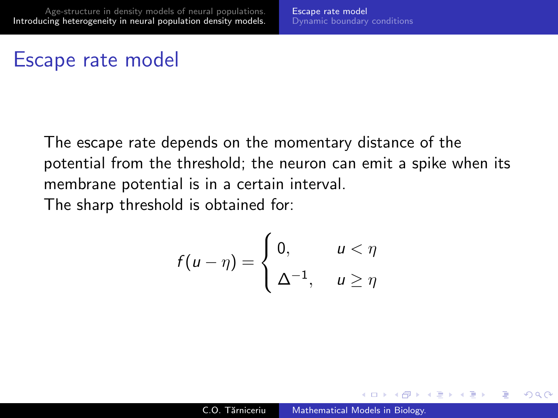#### Escape rate model

The escape rate depends on the momentary distance of the potential from the threshold; the neuron can emit a spike when its membrane potential is in a certain interval. The sharp threshold is obtained for:

$$
f(u-\eta) = \begin{cases} 0, & u < \eta \\ \Delta^{-1}, & u \ge \eta \end{cases}
$$

イロ トラ 河 トラ ミュートラン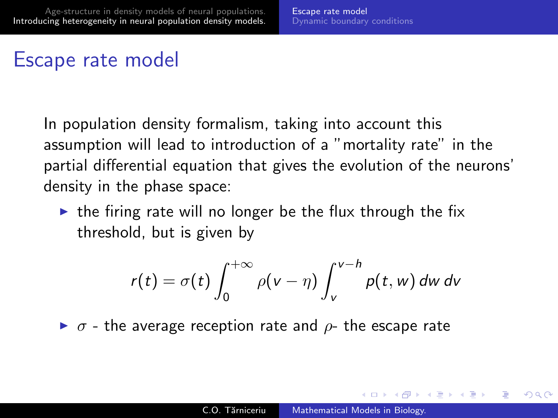#### Escape rate model

In population density formalism, taking into account this assumption will lead to introduction of a "mortality rate" in the partial differential equation that gives the evolution of the neurons' density in the phase space:

 $\triangleright$  the firing rate will no longer be the flux through the fix threshold, but is given by

$$
r(t) = \sigma(t) \int_0^{+\infty} \rho(v-\eta) \int_v^{v-h} p(t, w) \, dw \, dv
$$

 $\triangleright$   $\sigma$  - the average reception rate and  $\rho$ - the escape rate

∢ロ ▶ ∢何 ▶ ∢ ヨ ▶ ∢ ヨ ▶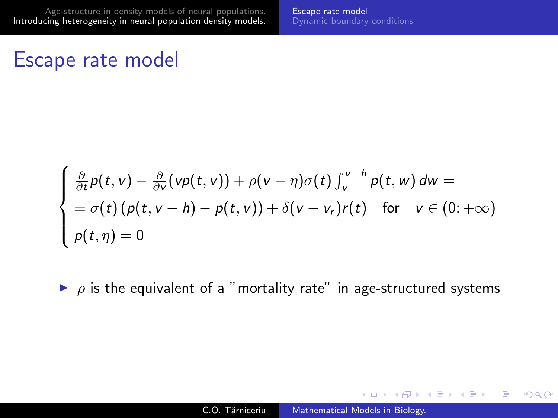#### Escape rate model

$$
\begin{cases} \frac{\partial}{\partial t}p(t,v) - \frac{\partial}{\partial v}(vp(t,v)) + \rho(v-\eta)\sigma(t)\int_v^{v-h} p(t,w) dw = \\ = \sigma(t)(p(t,v-h) - p(t,v)) + \delta(v-v_r)r(t) \quad \text{for} \quad v \in (0;+\infty) \\ p(t,\eta) = 0 \end{cases}
$$

 $\rho$  is the equivalent of a "mortality rate" in age-structured systems

メロメ イ母メ メミメ メミメ

 $2990$ 

∍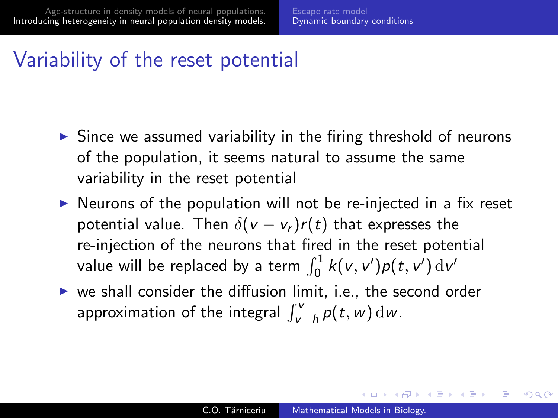## Variability of the reset potential

- $\triangleright$  Since we assumed variability in the firing threshold of neurons of the population, it seems natural to assume the same variability in the reset potential
- $\triangleright$  Neurons of the population will not be re-injected in a fix reset potential value. Then  $\delta(v - v_r)r(t)$  that expresses the re-injection of the neurons that fired in the reset potential value will be replaced by a term  $\int_0^1 k(v,v')\rho(t,v')\,\mathrm{d}v'$
- $\triangleright$  we shall consider the diffusion limit, i.e., the second order approximation of the integral  $\int_{v-h}^{v} p(t, w) dw$ .

<span id="page-18-0"></span>**≮ロト ⊀何ト ⊀ ヨト ⊀ ヨト**